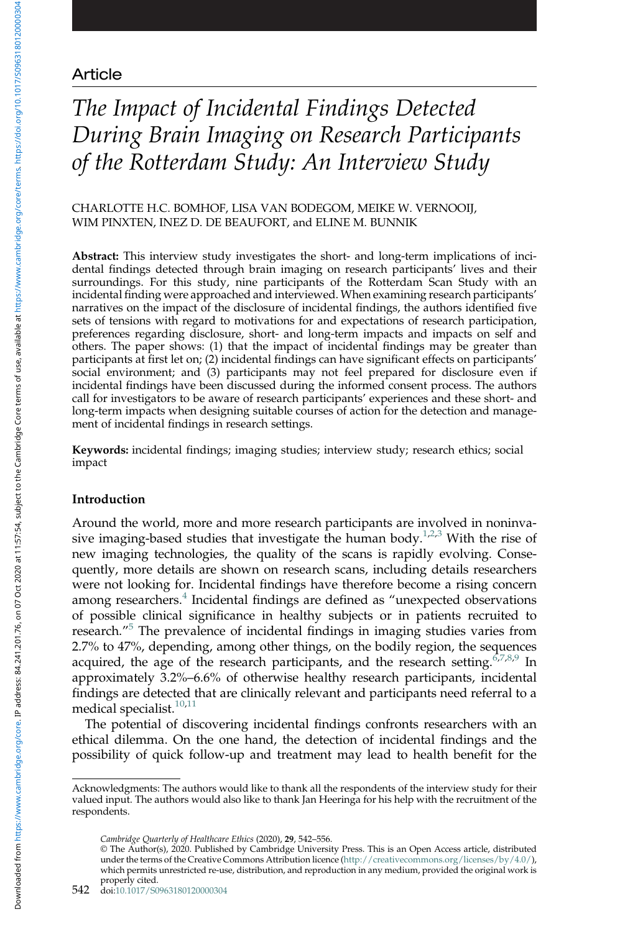Article

# The Impact of Incidental Findings Detected During Brain Imaging on Research Participants of the Rotterdam Study: An Interview Study

## CHARLOTTE H.C. BOMHOF, LISA VAN BODEGOM, MEIKE W. VERNOOIJ, WIM PINXTEN, INEZ D. DE BEAUFORT, and ELINE M. BUNNIK

Abstract: This interview study investigates the short- and long-term implications of incidental findings detected through brain imaging on research participants' lives and their surroundings. For this study, nine participants of the Rotterdam Scan Study with an incidental finding were approached and interviewed. When examining research participants' narratives on the impact of the disclosure of incidental findings, the authors identified five sets of tensions with regard to motivations for and expectations of research participation, preferences regarding disclosure, short- and long-term impacts and impacts on self and others. The paper shows: (1) that the impact of incidental findings may be greater than participants at first let on; (2) incidental findings can have significant effects on participants' social environment; and (3) participants may not feel prepared for disclosure even if incidental findings have been discussed during the informed consent process. The authors call for investigators to be aware of research participants' experiences and these short- and long-term impacts when designing suitable courses of action for the detection and management of incidental findings in research settings.

Keywords: incidental findings; imaging studies; interview study; research ethics; social impact

### Introduction

Around the world, more and more research participants are involved in noninva-sive imaging-based studies that investigate the human body.<sup>1,[2,3](#page-12-0)</sup> With the rise of new imaging technologies, the quality of the scans is rapidly evolving. Consequently, more details are shown on research scans, including details researchers were not looking for. Incidental findings have therefore become a rising concern among researchers.[4](#page-12-0) Incidental findings are defined as "unexpected observations of possible clinical significance in healthy subjects or in patients recruited to research."[5](#page-12-0) The prevalence of incidental findings in imaging studies varies from 2.7% to 47%, depending, among other things, on the bodily region, the sequences acquired, the age of the research participants, and the research setting.<sup>[6,7,8,9](#page-12-0)</sup> In approximately 3.2%–6.6% of otherwise healthy research participants, incidental findings are detected that are clinically relevant and participants need referral to a medical specialist.  $^{\rm 10,11}$  $^{\rm 10,11}$  $^{\rm 10,11}$ 

The potential of discovering incidental findings confronts researchers with an ethical dilemma. On the one hand, the detection of incidental findings and the possibility of quick follow-up and treatment may lead to health benefit for the

Acknowledgments: The authors would like to thank all the respondents of the interview study for their valued input. The authors would also like to thank Jan Heeringa for his help with the recruitment of the respondents.

Cambridge Quarterly of Healthcare Ethics (2020), 29, 542–556.

<sup>©</sup> The Author(s), 2020. Published by Cambridge University Press. This is an Open Access article, distributed under the terms of the Creative Commons Attribution licence [\(http://creativecommons.org/licenses/by/4.0/](http://creativecommons.org/licenses/by/4.0/)), which permits unrestricted re-use, distribution, and reproduction in any medium, provided the original work is properly cited.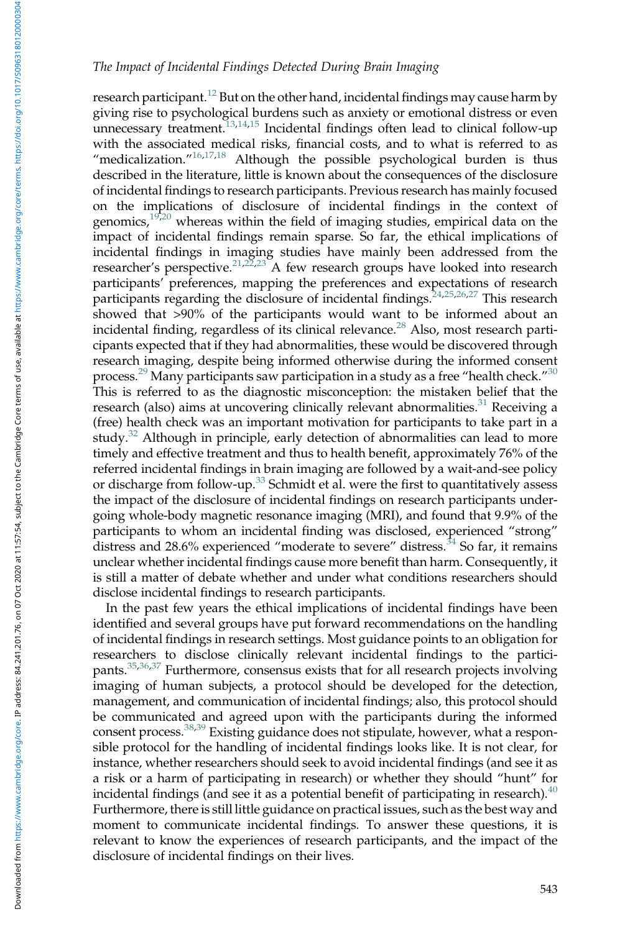research participant.<sup>[12](#page-12-0)</sup> But on the other hand, incidental findings may cause harm by giving rise to psychological burdens such as anxiety or emotional distress or even unnecessary treatment.<sup>[13,](#page-12-0)[14,15](#page-13-0)</sup> Incidental findings often lead to clinical follow-up with the associated medical risks, financial costs, and to what is referred to as "medicalization." $16,17,18$  Although the possible psychological burden is thus described in the literature, little is known about the consequences of the disclosure of incidental findings to research participants. Previous research has mainly focused on the implications of disclosure of incidental findings in the context of genomics, $19,20$  $19,20$  $19,20$  whereas within the field of imaging studies, empirical data on the impact of incidental findings remain sparse. So far, the ethical implications of incidental findings in imaging studies have mainly been addressed from the researcher's perspective.<sup>[21,22,23](#page-13-0)</sup> A few research groups have looked into research participants' preferences, mapping the preferences and expectations of research participants regarding the disclosure of incidental findings.<sup>[24](#page-13-0),[25,26,27](#page-13-0)</sup> This research showed that >90% of the participants would want to be informed about an incidental finding, regardless of its clinical relevance.<sup>[28](#page-13-0)</sup> Also, most research participants expected that if they had abnormalities, these would be discovered through research imaging, despite being informed otherwise during the informed consent process.<sup>[29](#page-13-0)</sup> Many participants saw participation in a study as a free "health check."<sup>[30](#page-13-0)</sup> This is referred to as the diagnostic misconception: the mistaken belief that the research (also) aims at uncovering clinically relevant abnormalities.<sup>[31](#page-13-0)</sup> Receiving a (free) health check was an important motivation for participants to take part in a study.<sup>[32](#page-13-0)</sup> Although in principle, early detection of abnormalities can lead to more timely and effective treatment and thus to health benefit, approximately 76% of the referred incidental findings in brain imaging are followed by a wait-and-see policy or discharge from follow-up.<sup>[33](#page-13-0)</sup> Schmidt et al. were the first to quantitatively assess the impact of the disclosure of incidental findings on research participants undergoing whole-body magnetic resonance imaging (MRI), and found that 9.9% of the participants to whom an incidental finding was disclosed, experienced "strong" distress and 28.6% experienced "moderate to severe" distress.<sup>[34](#page-13-0)</sup> So far, it remains unclear whether incidental findings cause more benefit than harm. Consequently, it is still a matter of debate whether and under what conditions researchers should disclose incidental findings to research participants.

In the past few years the ethical implications of incidental findings have been identified and several groups have put forward recommendations on the handling of incidental findings in research settings. Most guidance points to an obligation for researchers to disclose clinically relevant incidental findings to the participants.[35,36](#page-13-0),[37](#page-13-0) Furthermore, consensus exists that for all research projects involving imaging of human subjects, a protocol should be developed for the detection, management, and communication of incidental findings; also, this protocol should be communicated and agreed upon with the participants during the informed consent process.<sup>[38,39](#page-13-0)</sup> Existing guidance does not stipulate, however, what a responsible protocol for the handling of incidental findings looks like. It is not clear, for instance, whether researchers should seek to avoid incidental findings (and see it as a risk or a harm of participating in research) or whether they should "hunt" for incidental findings (and see it as a potential benefit of participating in research). $40$ Furthermore, there is still little guidance on practical issues, such as the best way and moment to communicate incidental findings. To answer these questions, it is relevant to know the experiences of research participants, and the impact of the disclosure of incidental findings on their lives.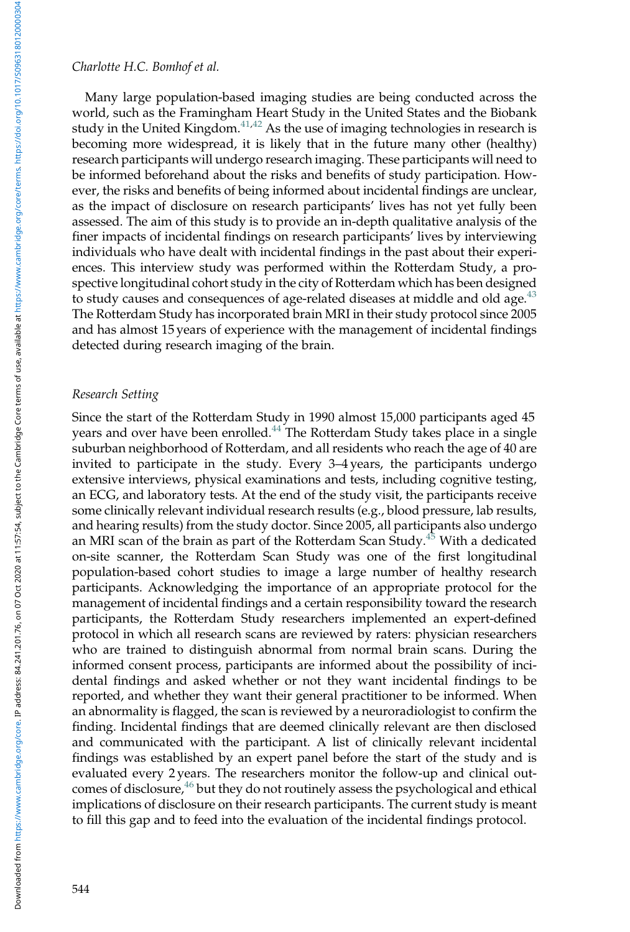Many large population-based imaging studies are being conducted across the world, such as the Framingham Heart Study in the United States and the Biobank study in the United Kingdom.<sup>[41,42](#page-13-0)</sup> As the use of imaging technologies in research is becoming more widespread, it is likely that in the future many other (healthy) research participants will undergo research imaging. These participants will need to be informed beforehand about the risks and benefits of study participation. However, the risks and benefits of being informed about incidental findings are unclear, as the impact of disclosure on research participants' lives has not yet fully been assessed. The aim of this study is to provide an in-depth qualitative analysis of the finer impacts of incidental findings on research participants' lives by interviewing individuals who have dealt with incidental findings in the past about their experiences. This interview study was performed within the Rotterdam Study, a prospective longitudinal cohort study in the city of Rotterdam which has been designed to study causes and consequences of age-related diseases at middle and old age.<sup> $43$ </sup> The Rotterdam Study has incorporated brain MRI in their study protocol since 2005 and has almost 15 years of experience with the management of incidental findings detected during research imaging of the brain.

## Research Setting

Since the start of the Rotterdam Study in 1990 almost 15,000 participants aged 45 years and over have been enrolled.<sup>[44](#page-14-0)</sup> The Rotterdam Study takes place in a single suburban neighborhood of Rotterdam, and all residents who reach the age of 40 are invited to participate in the study. Every 3–4 years, the participants undergo extensive interviews, physical examinations and tests, including cognitive testing, an ECG, and laboratory tests. At the end of the study visit, the participants receive some clinically relevant individual research results (e.g., blood pressure, lab results, and hearing results) from the study doctor. Since 2005, all participants also undergo an MRI scan of the brain as part of the Rotterdam Scan Study.<sup>[45](#page-14-0)</sup> With a dedicated on-site scanner, the Rotterdam Scan Study was one of the first longitudinal population-based cohort studies to image a large number of healthy research participants. Acknowledging the importance of an appropriate protocol for the management of incidental findings and a certain responsibility toward the research participants, the Rotterdam Study researchers implemented an expert-defined protocol in which all research scans are reviewed by raters: physician researchers who are trained to distinguish abnormal from normal brain scans. During the informed consent process, participants are informed about the possibility of incidental findings and asked whether or not they want incidental findings to be reported, and whether they want their general practitioner to be informed. When an abnormality is flagged, the scan is reviewed by a neuroradiologist to confirm the finding. Incidental findings that are deemed clinically relevant are then disclosed and communicated with the participant. A list of clinically relevant incidental findings was established by an expert panel before the start of the study and is evaluated every 2 years. The researchers monitor the follow-up and clinical outcomes of disclosure, $46$  but they do not routinely assess the psychological and ethical implications of disclosure on their research participants. The current study is meant to fill this gap and to feed into the evaluation of the incidental findings protocol.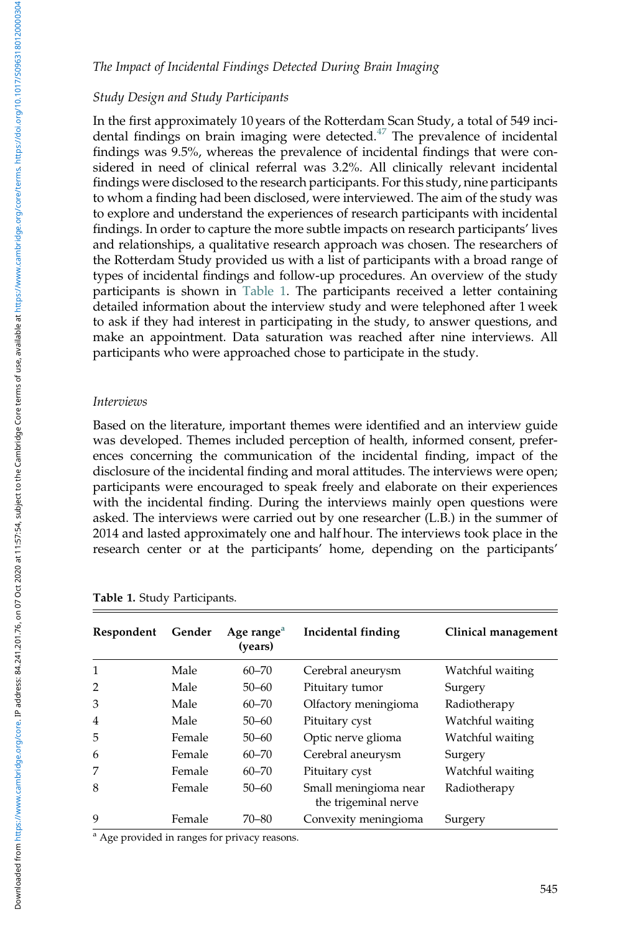### Study Design and Study Participants

In the first approximately 10 years of the Rotterdam Scan Study, a total of 549 inci-dental findings on brain imaging were detected.<sup>[47](#page-14-0)</sup> The prevalence of incidental findings was 9.5%, whereas the prevalence of incidental findings that were considered in need of clinical referral was 3.2%. All clinically relevant incidental findings were disclosed to the research participants. For this study, nine participants to whom a finding had been disclosed, were interviewed. The aim of the study was to explore and understand the experiences of research participants with incidental findings. In order to capture the more subtle impacts on research participants' lives and relationships, a qualitative research approach was chosen. The researchers of the Rotterdam Study provided us with a list of participants with a broad range of types of incidental findings and follow-up procedures. An overview of the study participants is shown in Table 1. The participants received a letter containing detailed information about the interview study and were telephoned after 1 week to ask if they had interest in participating in the study, to answer questions, and make an appointment. Data saturation was reached after nine interviews. All participants who were approached chose to participate in the study.

#### **Interviews**

Based on the literature, important themes were identified and an interview guide was developed. Themes included perception of health, informed consent, preferences concerning the communication of the incidental finding, impact of the disclosure of the incidental finding and moral attitudes. The interviews were open; participants were encouraged to speak freely and elaborate on their experiences with the incidental finding. During the interviews mainly open questions were asked. The interviews were carried out by one researcher (L.B.) in the summer of 2014 and lasted approximately one and half hour. The interviews took place in the research center or at the participants' home, depending on the participants'

| Respondent     | Gender | Age range <sup>a</sup><br>(vears) | Incidental finding                            | Clinical management |
|----------------|--------|-----------------------------------|-----------------------------------------------|---------------------|
| 1              | Male   | $60 - 70$                         | Cerebral aneurysm                             | Watchful waiting    |
| $\overline{2}$ | Male   | $50 - 60$                         | Pituitary tumor                               | Surgery             |
| 3              | Male   | $60 - 70$                         | Olfactory meningioma                          | Radiotherapy        |
| 4              | Male   | $50 - 60$                         | Pituitary cyst                                | Watchful waiting    |
| 5              | Female | $50 - 60$                         | Optic nerve glioma                            | Watchful waiting    |
| 6              | Female | $60 - 70$                         | Cerebral aneurysm                             | Surgery             |
| 7              | Female | $60 - 70$                         | Pituitary cyst                                | Watchful waiting    |
| 8              | Female | $50 - 60$                         | Small meningioma near<br>the trigeminal nerve | Radiotherapy        |
| 9              | Female | 70–80                             | Convexity meningioma                          | Surgery             |

Table 1. Study Participants.

<sup>a</sup> Age provided in ranges for privacy reasons.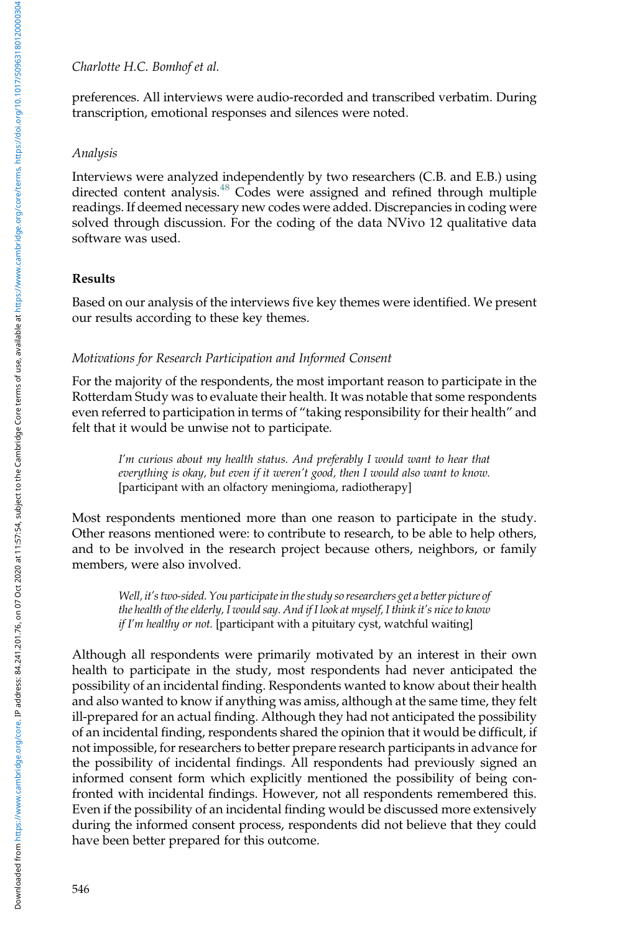preferences. All interviews were audio-recorded and transcribed verbatim. During transcription, emotional responses and silences were noted.

## Analysis

Interviews were analyzed independently by two researchers (C.B. and E.B.) using directed content analysis.<sup>[48](#page-14-0)</sup> Codes were assigned and refined through multiple readings. If deemed necessary new codes were added. Discrepancies in coding were solved through discussion. For the coding of the data NVivo 12 qualitative data software was used.

# Results

Based on our analysis of the interviews five key themes were identified. We present our results according to these key themes.

# Motivations for Research Participation and Informed Consent

For the majority of the respondents, the most important reason to participate in the Rotterdam Study was to evaluate their health. It was notable that some respondents even referred to participation in terms of "taking responsibility for their health" and felt that it would be unwise not to participate.

I'm curious about my health status. And preferably I would want to hear that everything is okay, but even if it weren't good, then I would also want to know. [participant with an olfactory meningioma, radiotherapy]

Most respondents mentioned more than one reason to participate in the study. Other reasons mentioned were: to contribute to research, to be able to help others, and to be involved in the research project because others, neighbors, or family members, were also involved.

Well, it's two-sided. You participate in the study so researchers get a better picture of the health of the elderly, I would say. And if I look at myself, I think it's nice to know if I'm healthy or not. [participant with a pituitary cyst, watchful waiting]

Although all respondents were primarily motivated by an interest in their own health to participate in the study, most respondents had never anticipated the possibility of an incidental finding. Respondents wanted to know about their health and also wanted to know if anything was amiss, although at the same time, they felt ill-prepared for an actual finding. Although they had not anticipated the possibility of an incidental finding, respondents shared the opinion that it would be difficult, if not impossible, for researchers to better prepare research participants in advance for the possibility of incidental findings. All respondents had previously signed an informed consent form which explicitly mentioned the possibility of being confronted with incidental findings. However, not all respondents remembered this. Even if the possibility of an incidental finding would be discussed more extensively during the informed consent process, respondents did not believe that they could have been better prepared for this outcome.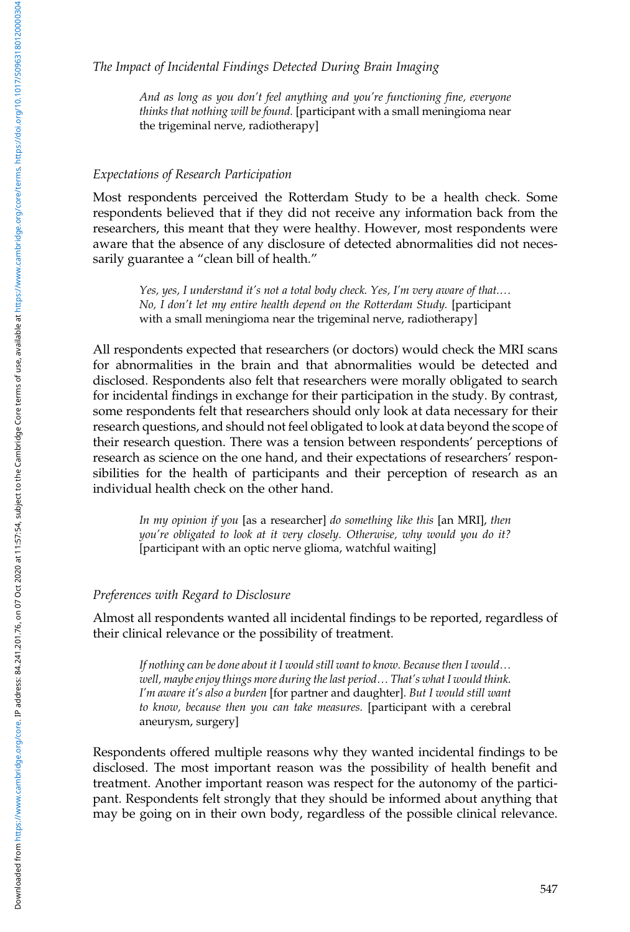And as long as you don't feel anything and you're functioning fine, everyone thinks that nothing will be found. [participant with a small meningioma near the trigeminal nerve, radiotherapy]

## Expectations of Research Participation

Most respondents perceived the Rotterdam Study to be a health check. Some respondents believed that if they did not receive any information back from the researchers, this meant that they were healthy. However, most respondents were aware that the absence of any disclosure of detected abnormalities did not necessarily guarantee a "clean bill of health."

> Yes, yes, I understand it's not a total body check. Yes, I'm very aware of that.… No, I don't let my entire health depend on the Rotterdam Study. [participant with a small meningioma near the trigeminal nerve, radiotherapy]

All respondents expected that researchers (or doctors) would check the MRI scans for abnormalities in the brain and that abnormalities would be detected and disclosed. Respondents also felt that researchers were morally obligated to search for incidental findings in exchange for their participation in the study. By contrast, some respondents felt that researchers should only look at data necessary for their research questions, and should not feel obligated to look at data beyond the scope of their research question. There was a tension between respondents' perceptions of research as science on the one hand, and their expectations of researchers' responsibilities for the health of participants and their perception of research as an individual health check on the other hand.

> In my opinion if you [as a researcher] do something like this [an MRI], then you're obligated to look at it very closely. Otherwise, why would you do it? [participant with an optic nerve glioma, watchful waiting]

# Preferences with Regard to Disclosure

Almost all respondents wanted all incidental findings to be reported, regardless of their clinical relevance or the possibility of treatment.

If nothing can be done about it I would still want to know. Because then I would… well, maybe enjoy things more during the last period… That's what I would think. I'm aware it's also a burden [for partner and daughter]. But I would still want to know, because then you can take measures. [participant with a cerebral aneurysm, surgery]

Respondents offered multiple reasons why they wanted incidental findings to be disclosed. The most important reason was the possibility of health benefit and treatment. Another important reason was respect for the autonomy of the participant. Respondents felt strongly that they should be informed about anything that may be going on in their own body, regardless of the possible clinical relevance.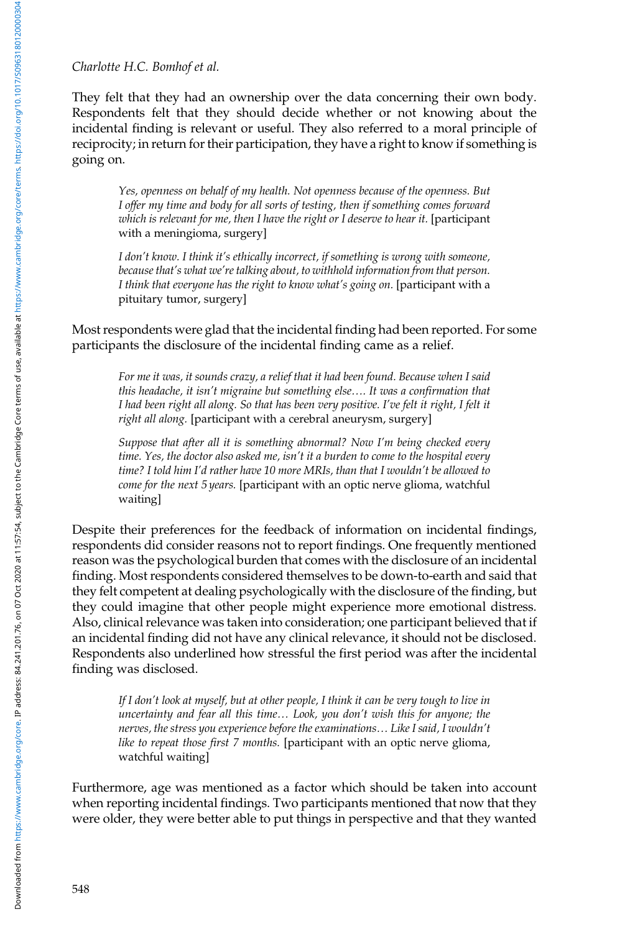They felt that they had an ownership over the data concerning their own body. Respondents felt that they should decide whether or not knowing about the incidental finding is relevant or useful. They also referred to a moral principle of reciprocity; in return for their participation, they have a right to know if something is going on.

Yes, openness on behalf of my health. Not openness because of the openness. But I offer my time and body for all sorts of testing, then if something comes forward which is relevant for me, then I have the right or I deserve to hear it. [participant with a meningioma, surgery]

I don't know. I think it's ethically incorrect, if something is wrong with someone, because that's what we're talking about, to withhold information from that person. I think that everyone has the right to know what's going on. [participant with a pituitary tumor, surgery]

Most respondents were glad that the incidental finding had been reported. For some participants the disclosure of the incidental finding came as a relief.

For me it was, it sounds crazy, a relief that it had been found. Because when I said this headache, it isn't migraine but something else…. It was a confirmation that I had been right all along. So that has been very positive. I've felt it right, I felt it right all along. [participant with a cerebral aneurysm, surgery]

Suppose that after all it is something abnormal? Now I'm being checked every time. Yes, the doctor also asked me, isn't it a burden to come to the hospital every time? I told him I'd rather have 10 more MRIs, than that I wouldn't be allowed to come for the next 5 years. [participant with an optic nerve glioma, watchful waiting]

Despite their preferences for the feedback of information on incidental findings, respondents did consider reasons not to report findings. One frequently mentioned reason was the psychological burden that comes with the disclosure of an incidental finding. Most respondents considered themselves to be down-to-earth and said that they felt competent at dealing psychologically with the disclosure of the finding, but they could imagine that other people might experience more emotional distress. Also, clinical relevance was taken into consideration; one participant believed that if an incidental finding did not have any clinical relevance, it should not be disclosed. Respondents also underlined how stressful the first period was after the incidental finding was disclosed.

If I don't look at myself, but at other people, I think it can be very tough to live in uncertainty and fear all this time… Look, you don't wish this for anyone; the nerves, the stress you experience before the examinations… Like I said, I wouldn't like to repeat those first 7 months. [participant with an optic nerve glioma, watchful waiting]

Furthermore, age was mentioned as a factor which should be taken into account when reporting incidental findings. Two participants mentioned that now that they were older, they were better able to put things in perspective and that they wanted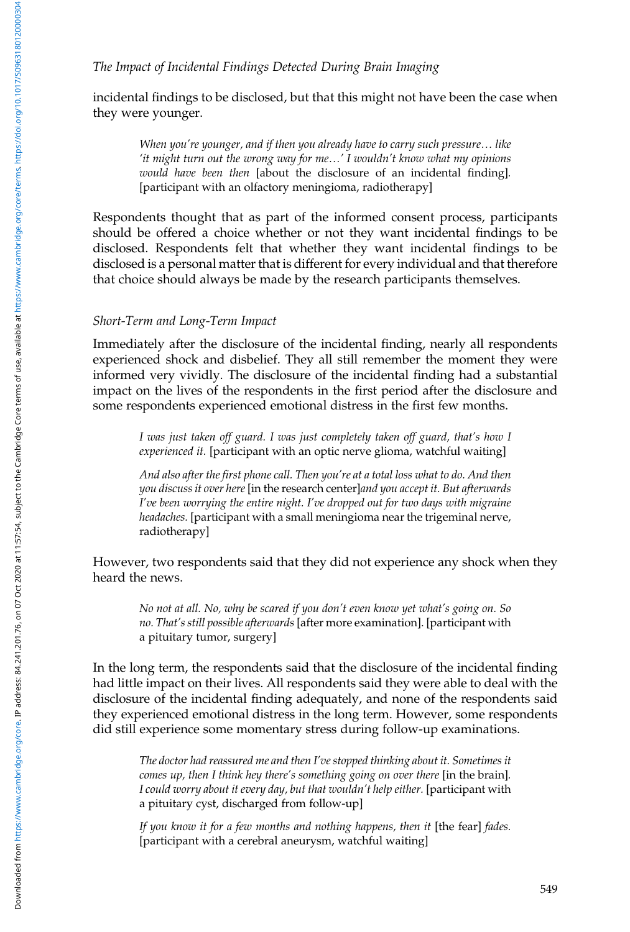incidental findings to be disclosed, but that this might not have been the case when they were younger.

> When you're younger, and if then you already have to carry such pressure… like 'it might turn out the wrong way for me…' I wouldn't know what my opinions would have been then [about the disclosure of an incidental finding]. [participant with an olfactory meningioma, radiotherapy]

Respondents thought that as part of the informed consent process, participants should be offered a choice whether or not they want incidental findings to be disclosed. Respondents felt that whether they want incidental findings to be disclosed is a personal matter that is different for every individual and that therefore that choice should always be made by the research participants themselves.

# Short-Term and Long-Term Impact

Immediately after the disclosure of the incidental finding, nearly all respondents experienced shock and disbelief. They all still remember the moment they were informed very vividly. The disclosure of the incidental finding had a substantial impact on the lives of the respondents in the first period after the disclosure and some respondents experienced emotional distress in the first few months.

> I was just taken off guard. I was just completely taken off guard, that's how I experienced it. [participant with an optic nerve glioma, watchful waiting]

> And also after the first phone call. Then you're at a total loss what to do. And then you discuss it over here[in the research center]and you accept it. But afterwards I've been worrying the entire night. I've dropped out for two days with migraine headaches. [participant with a small meningioma near the trigeminal nerve, radiotherapy]

However, two respondents said that they did not experience any shock when they heard the news.

> No not at all. No, why be scared if you don't even know yet what's going on. So no. That's still possible afterwards [after more examination]. [participant with a pituitary tumor, surgery]

In the long term, the respondents said that the disclosure of the incidental finding had little impact on their lives. All respondents said they were able to deal with the disclosure of the incidental finding adequately, and none of the respondents said they experienced emotional distress in the long term. However, some respondents did still experience some momentary stress during follow-up examinations.

> The doctor had reassured me and then I've stopped thinking about it. Sometimes it comes up, then I think hey there's something going on over there [in the brain]. I could worry about it every day, but that wouldn't help either. [participant with a pituitary cyst, discharged from follow-up]

> If you know it for a few months and nothing happens, then it [the fear] fades. [participant with a cerebral aneurysm, watchful waiting]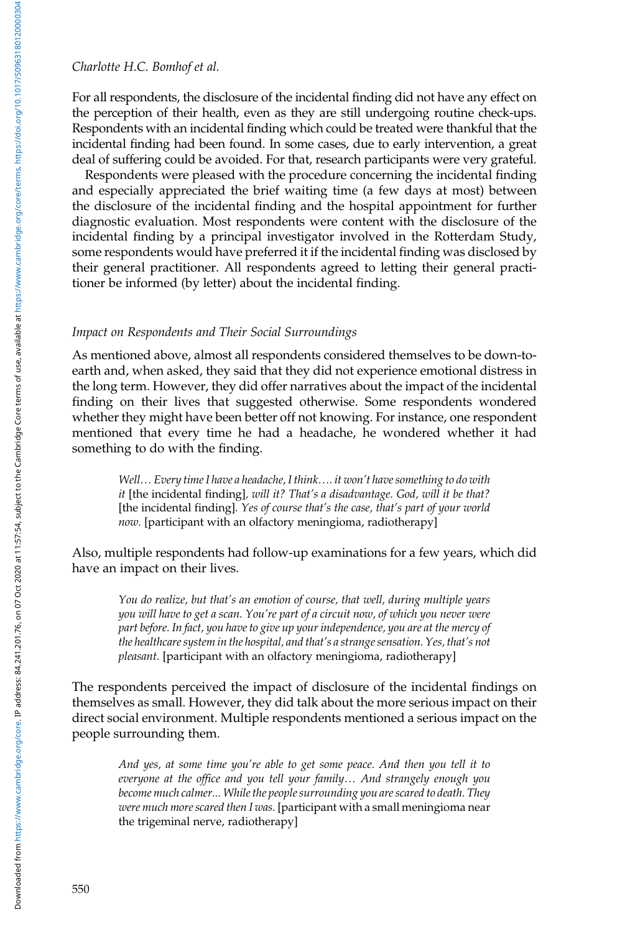For all respondents, the disclosure of the incidental finding did not have any effect on the perception of their health, even as they are still undergoing routine check-ups. Respondents with an incidental finding which could be treated were thankful that the incidental finding had been found. In some cases, due to early intervention, a great deal of suffering could be avoided. For that, research participants were very grateful.

Respondents were pleased with the procedure concerning the incidental finding and especially appreciated the brief waiting time (a few days at most) between the disclosure of the incidental finding and the hospital appointment for further diagnostic evaluation. Most respondents were content with the disclosure of the incidental finding by a principal investigator involved in the Rotterdam Study, some respondents would have preferred it if the incidental finding was disclosed by their general practitioner. All respondents agreed to letting their general practitioner be informed (by letter) about the incidental finding.

# Impact on Respondents and Their Social Surroundings

As mentioned above, almost all respondents considered themselves to be down-toearth and, when asked, they said that they did not experience emotional distress in the long term. However, they did offer narratives about the impact of the incidental finding on their lives that suggested otherwise. Some respondents wondered whether they might have been better off not knowing. For instance, one respondent mentioned that every time he had a headache, he wondered whether it had something to do with the finding.

> Well… Every time I have a headache, I think…. it won't have something to do with it [the incidental finding], will it? That's a disadvantage. God, will it be that? [the incidental finding]. Yes of course that's the case, that's part of your world now. [participant with an olfactory meningioma, radiotherapy]

Also, multiple respondents had follow-up examinations for a few years, which did have an impact on their lives.

You do realize, but that's an emotion of course, that well, during multiple years you will have to get a scan. You're part of a circuit now, of which you never were part before. In fact, you have to give up your independence, you are at the mercy of the healthcare system in the hospital, and that's a strange sensation. Yes, that's not pleasant. [participant with an olfactory meningioma, radiotherapy]

The respondents perceived the impact of disclosure of the incidental findings on themselves as small. However, they did talk about the more serious impact on their direct social environment. Multiple respondents mentioned a serious impact on the people surrounding them.

And yes, at some time you're able to get some peace. And then you tell it to everyone at the office and you tell your family… And strangely enough you become much calmer... While the people surrounding you are scared to death. They were much more scared then I was. [participant with a small meningioma near the trigeminal nerve, radiotherapy]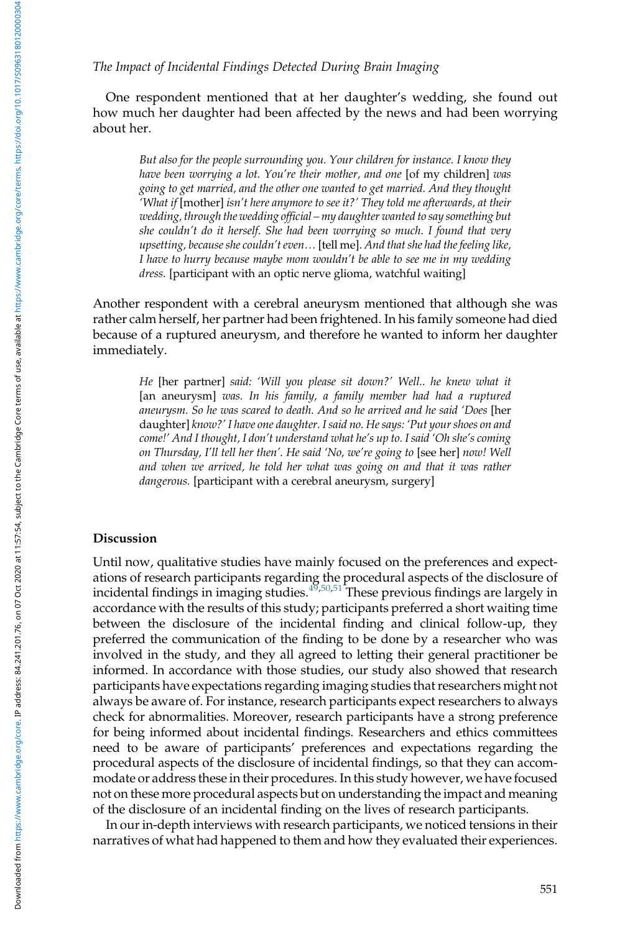One respondent mentioned that at her daughter's wedding, she found out how much her daughter had been affected by the news and had been worrying about her.

> But also for the people surrounding you. Your children for instance. I know they have been worrying a lot. You're their mother, and one [of my children] was going to get married, and the other one wanted to get married. And they thought 'What if [mother] isn't here anymore to see it?' They told me afterwards, at their wedding, through the wedding official – my daughter wanted to say something but she couldn't do it herself. She had been worrying so much. I found that very upsetting, because she couldn't even… [tell me]. And that she had the feeling like, I have to hurry because maybe mom wouldn't be able to see me in my wedding dress. [participant with an optic nerve glioma, watchful waiting]

Another respondent with a cerebral aneurysm mentioned that although she was rather calm herself, her partner had been frightened. In his family someone had died because of a ruptured aneurysm, and therefore he wanted to inform her daughter immediately.

> He [her partner] said: 'Will you please sit down?' Well.. he knew what it [an aneurysm] was. In his family, a family member had had a ruptured aneurysm. So he was scared to death. And so he arrived and he said 'Does [her daughter] know?' I have one daughter. I said no. He says: 'Put your shoes on and come!' And I thought, I don't understand what he's up to. I said 'Oh she's coming on Thursday, I'll tell her then'. He said 'No, we're going to [see her] now! Well and when we arrived, he told her what was going on and that it was rather dangerous. [participant with a cerebral aneurysm, surgery]

## Discussion

Until now, qualitative studies have mainly focused on the preferences and expectations of research participants regarding the procedural aspects of the disclosure of incidental findings in imaging studies. $49,50,51$  $49,50,51$  $49,50,51$  These previous findings are largely in accordance with the results of this study; participants preferred a short waiting time between the disclosure of the incidental finding and clinical follow-up, they preferred the communication of the finding to be done by a researcher who was involved in the study, and they all agreed to letting their general practitioner be informed. In accordance with those studies, our study also showed that research participants have expectations regarding imaging studies that researchers might not always be aware of. For instance, research participants expect researchers to always check for abnormalities. Moreover, research participants have a strong preference for being informed about incidental findings. Researchers and ethics committees need to be aware of participants' preferences and expectations regarding the procedural aspects of the disclosure of incidental findings, so that they can accommodate or address these in their procedures. In this study however, we have focused not on these more procedural aspects but on understanding the impact and meaning of the disclosure of an incidental finding on the lives of research participants.

In our in-depth interviews with research participants, we noticed tensions in their narratives of what had happened to them and how they evaluated their experiences.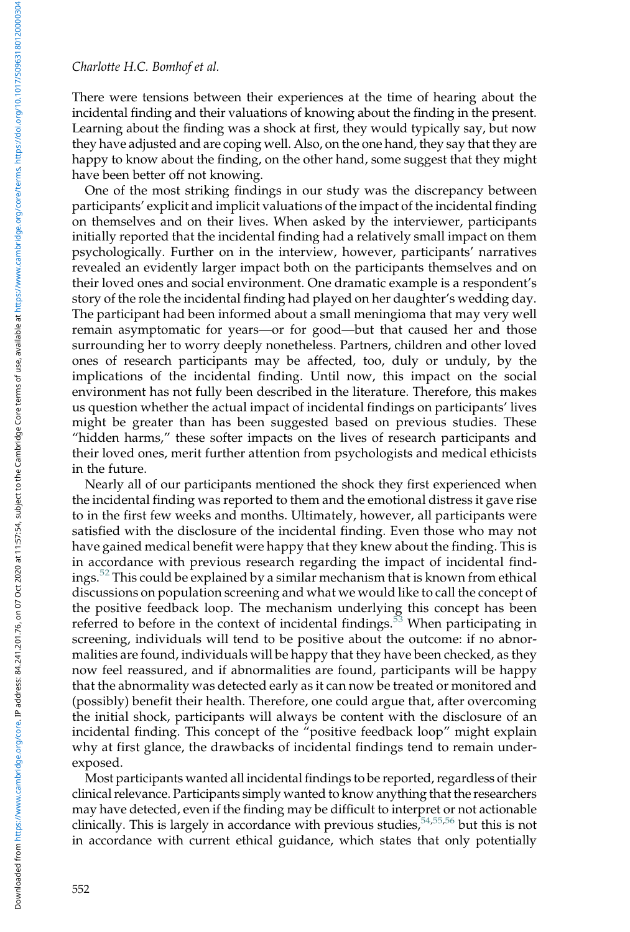There were tensions between their experiences at the time of hearing about the incidental finding and their valuations of knowing about the finding in the present. Learning about the finding was a shock at first, they would typically say, but now they have adjusted and are coping well. Also, on the one hand, they say that they are happy to know about the finding, on the other hand, some suggest that they might have been better off not knowing.

One of the most striking findings in our study was the discrepancy between participants' explicit and implicit valuations of the impact of the incidental finding on themselves and on their lives. When asked by the interviewer, participants initially reported that the incidental finding had a relatively small impact on them psychologically. Further on in the interview, however, participants' narratives revealed an evidently larger impact both on the participants themselves and on their loved ones and social environment. One dramatic example is a respondent's story of the role the incidental finding had played on her daughter's wedding day. The participant had been informed about a small meningioma that may very well remain asymptomatic for years—or for good—but that caused her and those surrounding her to worry deeply nonetheless. Partners, children and other loved ones of research participants may be affected, too, duly or unduly, by the implications of the incidental finding. Until now, this impact on the social environment has not fully been described in the literature. Therefore, this makes us question whether the actual impact of incidental findings on participants' lives might be greater than has been suggested based on previous studies. These "hidden harms," these softer impacts on the lives of research participants and their loved ones, merit further attention from psychologists and medical ethicists in the future.

Nearly all of our participants mentioned the shock they first experienced when the incidental finding was reported to them and the emotional distress it gave rise to in the first few weeks and months. Ultimately, however, all participants were satisfied with the disclosure of the incidental finding. Even those who may not have gained medical benefit were happy that they knew about the finding. This is in accordance with previous research regarding the impact of incidental find-ings.<sup>[52](#page-14-0)</sup> This could be explained by a similar mechanism that is known from ethical discussions on population screening and what we would like to call the concept of the positive feedback loop. The mechanism underlying this concept has been referred to before in the context of incidental findings.<sup>[53](#page-14-0)</sup> When participating in screening, individuals will tend to be positive about the outcome: if no abnormalities are found, individuals will be happy that they have been checked, as they now feel reassured, and if abnormalities are found, participants will be happy that the abnormality was detected early as it can now be treated or monitored and (possibly) benefit their health. Therefore, one could argue that, after overcoming the initial shock, participants will always be content with the disclosure of an incidental finding. This concept of the "positive feedback loop" might explain why at first glance, the drawbacks of incidental findings tend to remain underexposed.

Most participants wanted all incidental findings to be reported, regardless of their clinical relevance. Participants simply wanted to know anything that the researchers may have detected, even if the finding may be difficult to interpret or not actionable clinically. This is largely in accordance with previous studies,  $54,55,56$  but this is not in accordance with current ethical guidance, which states that only potentially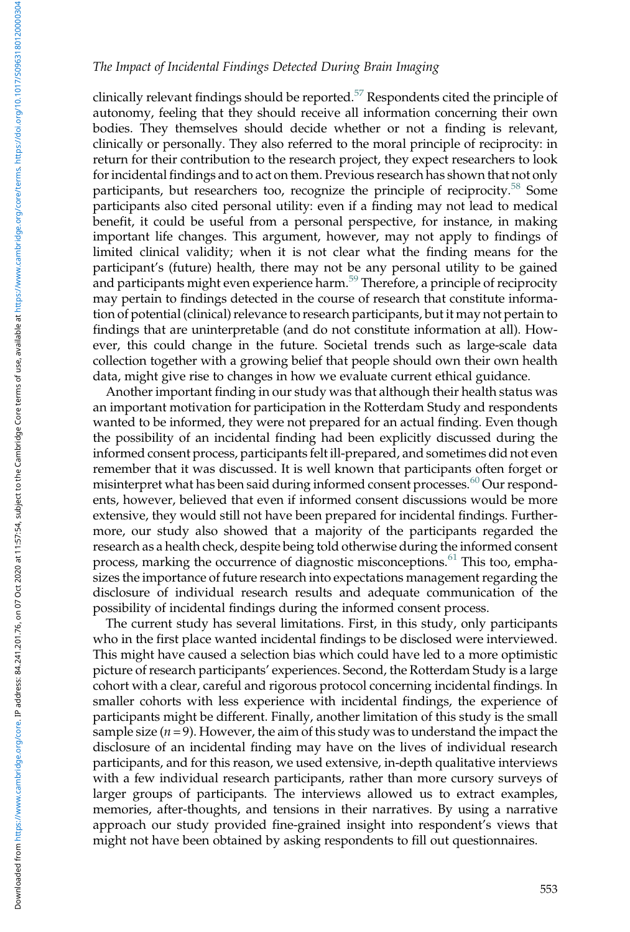clinically relevant findings should be reported.<sup>[57](#page-14-0)</sup> Respondents cited the principle of autonomy, feeling that they should receive all information concerning their own bodies. They themselves should decide whether or not a finding is relevant, clinically or personally. They also referred to the moral principle of reciprocity: in return for their contribution to the research project, they expect researchers to look for incidental findings and to act on them. Previous research has shown that not only participants, but researchers too, recognize the principle of reciprocity.<sup>[58](#page-14-0)</sup> Some participants also cited personal utility: even if a finding may not lead to medical benefit, it could be useful from a personal perspective, for instance, in making important life changes. This argument, however, may not apply to findings of limited clinical validity; when it is not clear what the finding means for the participant's (future) health, there may not be any personal utility to be gained and participants might even experience harm.<sup>[59](#page-14-0)</sup> Therefore, a principle of reciprocity may pertain to findings detected in the course of research that constitute information of potential (clinical) relevance to research participants, but it may not pertain to findings that are uninterpretable (and do not constitute information at all). However, this could change in the future. Societal trends such as large-scale data collection together with a growing belief that people should own their own health data, might give rise to changes in how we evaluate current ethical guidance.

Another important finding in our study was that although their health status was an important motivation for participation in the Rotterdam Study and respondents wanted to be informed, they were not prepared for an actual finding. Even though the possibility of an incidental finding had been explicitly discussed during the informed consent process, participants felt ill-prepared, and sometimes did not even remember that it was discussed. It is well known that participants often forget or misinterpret what has been said during informed consent processes.<sup>[60](#page-14-0)</sup> Our respondents, however, believed that even if informed consent discussions would be more extensive, they would still not have been prepared for incidental findings. Furthermore, our study also showed that a majority of the participants regarded the research as a health check, despite being told otherwise during the informed consent process, marking the occurrence of diagnostic misconceptions.<sup>[61](#page-14-0)</sup> This too, emphasizes the importance of future research into expectations management regarding the disclosure of individual research results and adequate communication of the possibility of incidental findings during the informed consent process.

The current study has several limitations. First, in this study, only participants who in the first place wanted incidental findings to be disclosed were interviewed. This might have caused a selection bias which could have led to a more optimistic picture of research participants' experiences. Second, the Rotterdam Study is a large cohort with a clear, careful and rigorous protocol concerning incidental findings. In smaller cohorts with less experience with incidental findings, the experience of participants might be different. Finally, another limitation of this study is the small sample size  $(n=9)$ . However, the aim of this study was to understand the impact the disclosure of an incidental finding may have on the lives of individual research participants, and for this reason, we used extensive, in-depth qualitative interviews with a few individual research participants, rather than more cursory surveys of larger groups of participants. The interviews allowed us to extract examples, memories, after-thoughts, and tensions in their narratives. By using a narrative approach our study provided fine-grained insight into respondent's views that might not have been obtained by asking respondents to fill out questionnaires.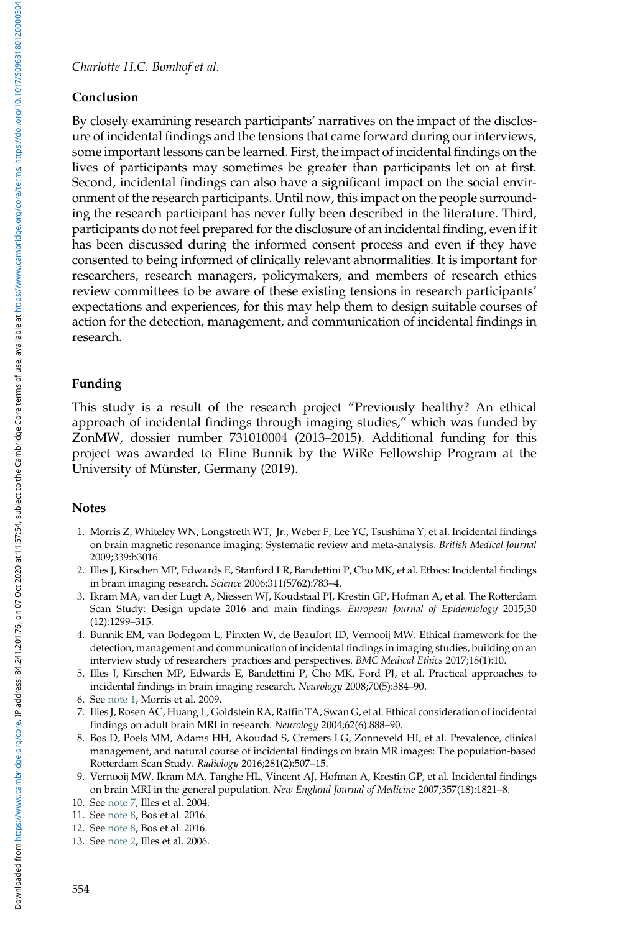## <span id="page-12-0"></span>Conclusion

By closely examining research participants' narratives on the impact of the disclosure of incidental findings and the tensions that came forward during our interviews, some important lessons can be learned. First, the impact of incidental findings on the lives of participants may sometimes be greater than participants let on at first. Second, incidental findings can also have a significant impact on the social environment of the research participants. Until now, this impact on the people surrounding the research participant has never fully been described in the literature. Third, participants do not feel prepared for the disclosure of an incidental finding, even if it has been discussed during the informed consent process and even if they have consented to being informed of clinically relevant abnormalities. It is important for researchers, research managers, policymakers, and members of research ethics review committees to be aware of these existing tensions in research participants' expectations and experiences, for this may help them to design suitable courses of action for the detection, management, and communication of incidental findings in research.

## Funding

This study is a result of the research project "Previously healthy? An ethical approach of incidental findings through imaging studies," which was funded by ZonMW, dossier number 731010004 (2013–2015). Additional funding for this project was awarded to Eline Bunnik by the WiRe Fellowship Program at the University of Münster, Germany (2019).

### **Notes**

- 1. Morris Z, Whiteley WN, Longstreth WT, Jr., Weber F, Lee YC, Tsushima Y, et al. Incidental findings on brain magnetic resonance imaging: Systematic review and meta-analysis. British Medical Journal 2009;339:b3016.
- 2. Illes J, Kirschen MP, Edwards E, Stanford LR, Bandettini P, Cho MK, et al. Ethics: Incidental findings in brain imaging research. Science 2006;311(5762):783–4.
- 3. Ikram MA, van der Lugt A, Niessen WJ, Koudstaal PJ, Krestin GP, Hofman A, et al. The Rotterdam Scan Study: Design update 2016 and main findings. European Journal of Epidemiology 2015;30 (12):1299–315.
- 4. Bunnik EM, van Bodegom L, Pinxten W, de Beaufort ID, Vernooij MW. Ethical framework for the detection, management and communication of incidental findings in imaging studies, building on an interview study of researchers' practices and perspectives. BMC Medical Ethics 2017;18(1):10.
- 5. Illes J, Kirschen MP, Edwards E, Bandettini P, Cho MK, Ford PJ, et al. Practical approaches to incidental findings in brain imaging research. Neurology 2008;70(5):384–90.
- 6. See note 1, Morris et al. 2009.
- 7. Illes J, Rosen AC, Huang L, Goldstein RA, Raffin TA, Swan G, et al. Ethical consideration of incidental findings on adult brain MRI in research. Neurology 2004;62(6):888–90.
- 8. Bos D, Poels MM, Adams HH, Akoudad S, Cremers LG, Zonneveld HI, et al. Prevalence, clinical management, and natural course of incidental findings on brain MR images: The population-based Rotterdam Scan Study. Radiology 2016;281(2):507–15.
- 9. Vernooij MW, Ikram MA, Tanghe HL, Vincent AJ, Hofman A, Krestin GP, et al. Incidental findings on brain MRI in the general population. New England Journal of Medicine 2007;357(18):1821-8.
- 10. See note 7, Illes et al. 2004.
- 11. See note 8, Bos et al. 2016.
- 12. See note 8, Bos et al. 2016.
- 13. See note 2, Illes et al. 2006.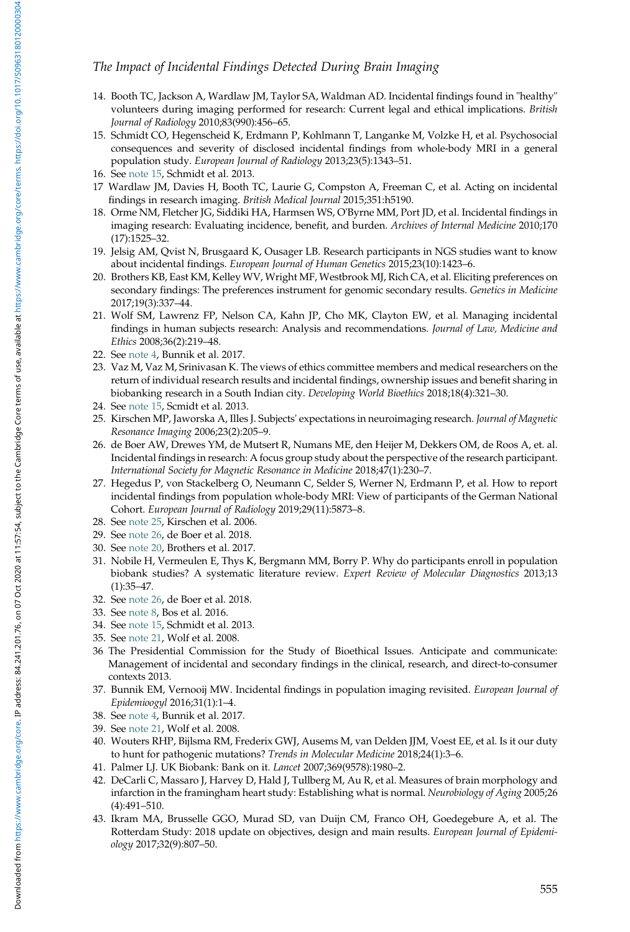- <span id="page-13-0"></span>14. Booth TC, Jackson A, Wardlaw JM, Taylor SA, Waldman AD. Incidental findings found in "healthy" volunteers during imaging performed for research: Current legal and ethical implications. British Journal of Radiology 2010;83(990):456–65.
- 15. Schmidt CO, Hegenscheid K, Erdmann P, Kohlmann T, Langanke M, Volzke H, et al. Psychosocial consequences and severity of disclosed incidental findings from whole-body MRI in a general population study. European Journal of Radiology 2013;23(5):1343–51.
- 16. See note 15, Schmidt et al. 2013.
- 17 Wardlaw JM, Davies H, Booth TC, Laurie G, Compston A, Freeman C, et al. Acting on incidental findings in research imaging. British Medical Journal 2015;351:h5190.
- 18. Orme NM, Fletcher JG, Siddiki HA, Harmsen WS, O'Byrne MM, Port JD, et al. Incidental findings in imaging research: Evaluating incidence, benefit, and burden. Archives of Internal Medicine 2010;170 (17):1525–32.
- 19. Jelsig AM, Qvist N, Brusgaard K, Ousager LB. Research participants in NGS studies want to know about incidental findings. European Journal of Human Genetics 2015;23(10):1423–6.
- 20. Brothers KB, East KM, Kelley WV, Wright MF, Westbrook MJ, Rich CA, et al. Eliciting preferences on secondary findings: The preferences instrument for genomic secondary results. Genetics in Medicine 2017;19(3):337–44.
- 21. Wolf SM, Lawrenz FP, Nelson CA, Kahn JP, Cho MK, Clayton EW, et al. Managing incidental findings in human subjects research: Analysis and recommendations. Journal of Law, Medicine and Ethics 2008;36(2):219–48.
- 22. See [note 4,](#page-12-0) Bunnik et al. 2017.
- 23. Vaz M, Vaz M, Srinivasan K. The views of ethics committee members and medical researchers on the return of individual research results and incidental findings, ownership issues and benefit sharing in biobanking research in a South Indian city. Developing World Bioethics 2018;18(4):321–30.
- 24. See note 15, Scmidt et al. 2013.
- 25. Kirschen MP, Jaworska A, Illes J. Subjects' expectations in neuroimaging research. Journal of Magnetic Resonance Imaging 2006;23(2):205–9.
- 26. de Boer AW, Drewes YM, de Mutsert R, Numans ME, den Heijer M, Dekkers OM, de Roos A, et. al. Incidental findings in research: A focus group study about the perspective of the research participant. International Society for Magnetic Resonance in Medicine 2018;47(1):230–7.
- 27. Hegedus P, von Stackelberg O, Neumann C, Selder S, Werner N, Erdmann P, et al. How to report incidental findings from population whole-body MRI: View of participants of the German National Cohort. European Journal of Radiology 2019;29(11):5873–8.
- 28. See note 25, Kirschen et al. 2006.
- 29. See note 26, de Boer et al. 2018.
- 30. See note 20, Brothers et al. 2017.
- 31. Nobile H, Vermeulen E, Thys K, Bergmann MM, Borry P. Why do participants enroll in population biobank studies? A systematic literature review. Expert Review of Molecular Diagnostics 2013;13  $(1):35-47.$
- 32. See note 26, de Boer et al. 2018.
- 33. See [note 8,](#page-12-0) Bos et al. 2016.
- 34. See note 15, Schmidt et al. 2013.
- 35. See note 21, Wolf et al. 2008.
- 36 The Presidential Commission for the Study of Bioethical Issues. Anticipate and communicate: Management of incidental and secondary findings in the clinical, research, and direct-to-consumer contexts 2013.
- 37. Bunnik EM, Vernooij MW. Incidental findings in population imaging revisited. European Journal of Epidemioogyl 2016;31(1):1–4.
- 38. See [note 4,](#page-12-0) Bunnik et al. 2017.
- 39. See note 21, Wolf et al. 2008.
- 40. Wouters RHP, Bijlsma RM, Frederix GWJ, Ausems M, van Delden JJM, Voest EE, et al. Is it our duty to hunt for pathogenic mutations? Trends in Molecular Medicine 2018;24(1):3–6.
- 41. Palmer LJ. UK Biobank: Bank on it. Lancet 2007;369(9578):1980–2.
- 42. DeCarli C, Massaro J, Harvey D, Hald J, Tullberg M, Au R, et al. Measures of brain morphology and infarction in the framingham heart study: Establishing what is normal. Neurobiology of Aging 2005;26 (4):491–510.
- 43. Ikram MA, Brusselle GGO, Murad SD, van Duijn CM, Franco OH, Goedegebure A, et al. The Rotterdam Study: 2018 update on objectives, design and main results. European Journal of Epidemiology 2017;32(9):807–50.